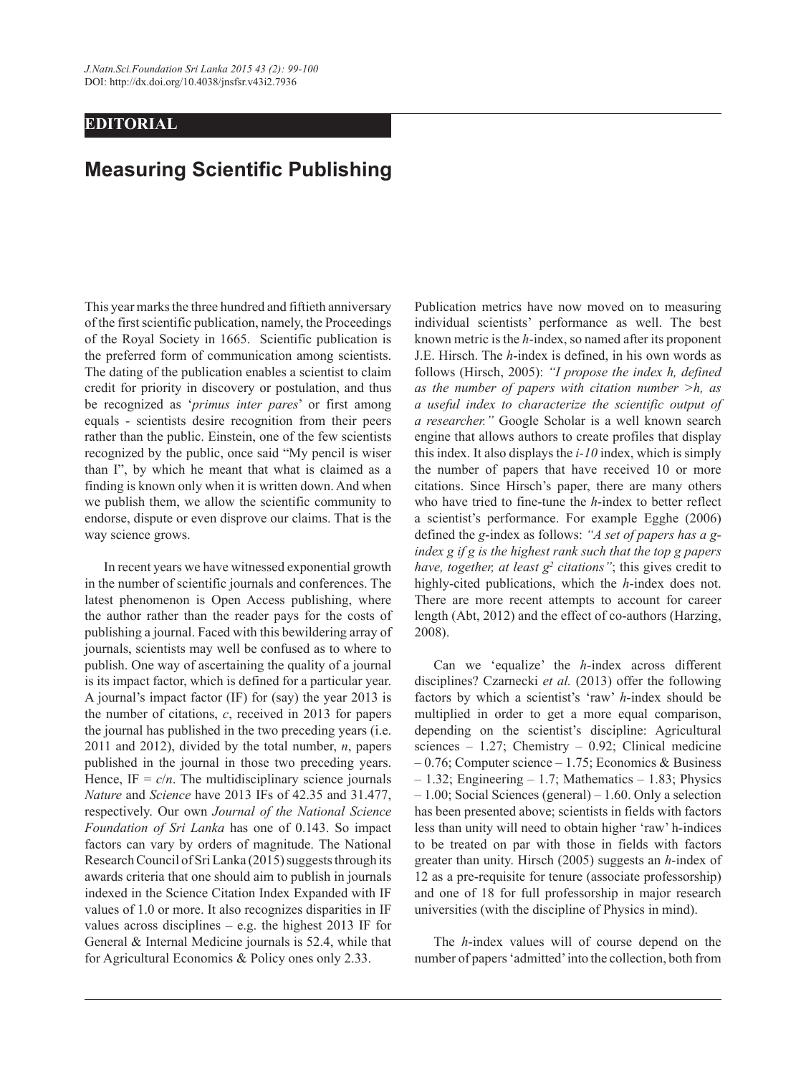## **EDITORIAL**

## **Measuring Scientific Publishing**

This year marks the three hundred and fiftieth anniversary of the first scientific publication, namely, the Proceedings of the Royal Society in 1665. Scientific publication is the preferred form of communication among scientists. The dating of the publication enables a scientist to claim credit for priority in discovery or postulation, and thus be recognized as '*primus inter pares*' or first among equals - scientists desire recognition from their peers rather than the public. Einstein, one of the few scientists recognized by the public, once said "My pencil is wiser than I", by which he meant that what is claimed as a finding is known only when it is written down. And when we publish them, we allow the scientific community to endorse, dispute or even disprove our claims. That is the way science grows.

In recent years we have witnessed exponential growth in the number of scientific journals and conferences. The latest phenomenon is Open Access publishing, where the author rather than the reader pays for the costs of publishing a journal. Faced with this bewildering array of journals, scientists may well be confused as to where to publish. One way of ascertaining the quality of a journal is its impact factor, which is defined for a particular year. A journal's impact factor (IF) for (say) the year 2013 is the number of citations, *c*, received in 2013 for papers the journal has published in the two preceding years (i.e. 2011 and 2012), divided by the total number, *n*, papers published in the journal in those two preceding years. Hence,  $IF = c/n$ . The multidisciplinary science journals *Nature* and *Science* have 2013 IFs of 42.35 and 31.477, respectively. Our own *Journal of the National Science Foundation of Sri Lanka* has one of 0.143. So impact factors can vary by orders of magnitude. The National Research Council of Sri Lanka (2015) suggests through its awards criteria that one should aim to publish in journals indexed in the Science Citation Index Expanded with IF values of 1.0 or more. It also recognizes disparities in IF values across disciplines  $-$  e.g. the highest 2013 IF for General & Internal Medicine journals is 52.4, while that for Agricultural Economics & Policy ones only 2.33.

Publication metrics have now moved on to measuring individual scientists' performance as well. The best known metric is the *h*-index, so named after its proponent J.E. Hirsch. The *h*-index is defined, in his own words as follows (Hirsch, 2005): *"I propose the index h, defined as the number of papers with citation number >h, as a useful index to characterize the scientific output of a researcher."* Google Scholar is a well known search engine that allows authors to create profiles that display this index. It also displays the *i-10* index, which is simply the number of papers that have received 10 or more citations. Since Hirsch's paper, there are many others who have tried to fine-tune the *h*-index to better reflect a scientist's performance. For example Egghe (2006) defined the *g*-index as follows: *"A set of papers has a gindex g if g is the highest rank such that the top g papers have, together, at least*  $g^2$  *citations"; this gives credit to* highly-cited publications, which the *h*-index does not. There are more recent attempts to account for career length (Abt, 2012) and the effect of co-authors (Harzing, 2008).

Can we 'equalize' the *h*-index across different disciplines? Czarnecki *et al.* (2013) offer the following factors by which a scientist's 'raw' *h*-index should be multiplied in order to get a more equal comparison, depending on the scientist's discipline: Agricultural sciences – 1.27; Chemistry – 0.92; Clinical medicine – 0.76; Computer science – 1.75; Economics & Business – 1.32; Engineering – 1.7; Mathematics – 1.83; Physics – 1.00; Social Sciences (general) – 1.60. Only a selection has been presented above; scientists in fields with factors less than unity will need to obtain higher 'raw' h-indices to be treated on par with those in fields with factors greater than unity. Hirsch (2005) suggests an *h*-index of 12 as a pre-requisite for tenure (associate professorship) and one of 18 for full professorship in major research universities (with the discipline of Physics in mind).

The *h*-index values will of course depend on the number of papers 'admitted' into the collection, both from